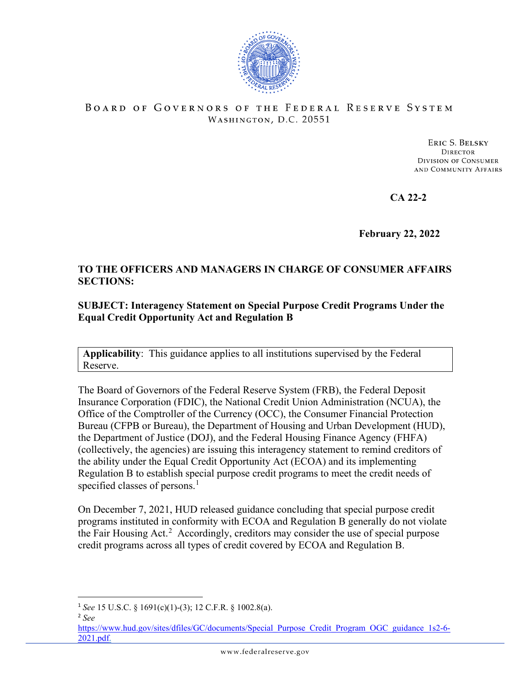

## BOARD OF GOVERNORS OF THE FEDERAL RESERVE SYSTEM WASHINGTON, D.C. 20551

ERIC S. BELSKY **DIRECTOR DIVISION OF CONSUMER** AND COMMUNITY AFFAIRS

**CA 22-2**

**February 22, 2022**

## **TO THE OFFICERS AND MANAGERS IN CHARGE OF CONSUMER AFFAIRS SECTIONS:**

## **SUBJECT: Interagency Statement on Special Purpose Credit Programs Under the Equal Credit Opportunity Act and Regulation B**

**Applicability**: This guidance applies to all institutions supervised by the Federal Reserve.

The Board of Governors of the Federal Reserve System (FRB), the Federal Deposit Insurance Corporation (FDIC), the National Credit Union Administration (NCUA), the Office of the Comptroller of the Currency (OCC), the Consumer Financial Protection Bureau (CFPB or Bureau), the Department of Housing and Urban Development (HUD), the Department of Justice (DOJ), and the Federal Housing Finance Agency (FHFA) (collectively, the agencies) are issuing this interagency statement to remind creditors of the ability under the Equal Credit Opportunity Act (ECOA) and its implementing Regulation B to establish special purpose credit programs to meet the credit needs of specified classes of persons.<sup>[1](#page-0-0)</sup>

On December 7, 2021, HUD released guidance concluding that special purpose credit programs instituted in conformity with ECOA and Regulation B generally do not violate the Fair Housing Act.<sup>[2](#page-0-1)</sup> Accordingly, creditors may consider the use of special purpose credit programs across all types of credit covered by ECOA and Regulation B.

<span id="page-0-0"></span><sup>1</sup> *See* 15 U.S.C. § 1691(c)(1)-(3); 12 C.F.R. § 1002.8(a).

<span id="page-0-1"></span><sup>2</sup> *See* 

[https://www.hud.gov/sites/dfiles/GC/documents/Special\\_Purpose\\_Credit\\_Program\\_OGC\\_guidance\\_1s2-6-](https://www.hud.gov/sites/dfiles/GC/documents/Special_Purpose_Credit_Program_OGC_guidance_12-6-2021.pdf) [2021.pdf.](https://www.hud.gov/sites/dfiles/GC/documents/Special_Purpose_Credit_Program_OGC_guidance_12-6-2021.pdf)